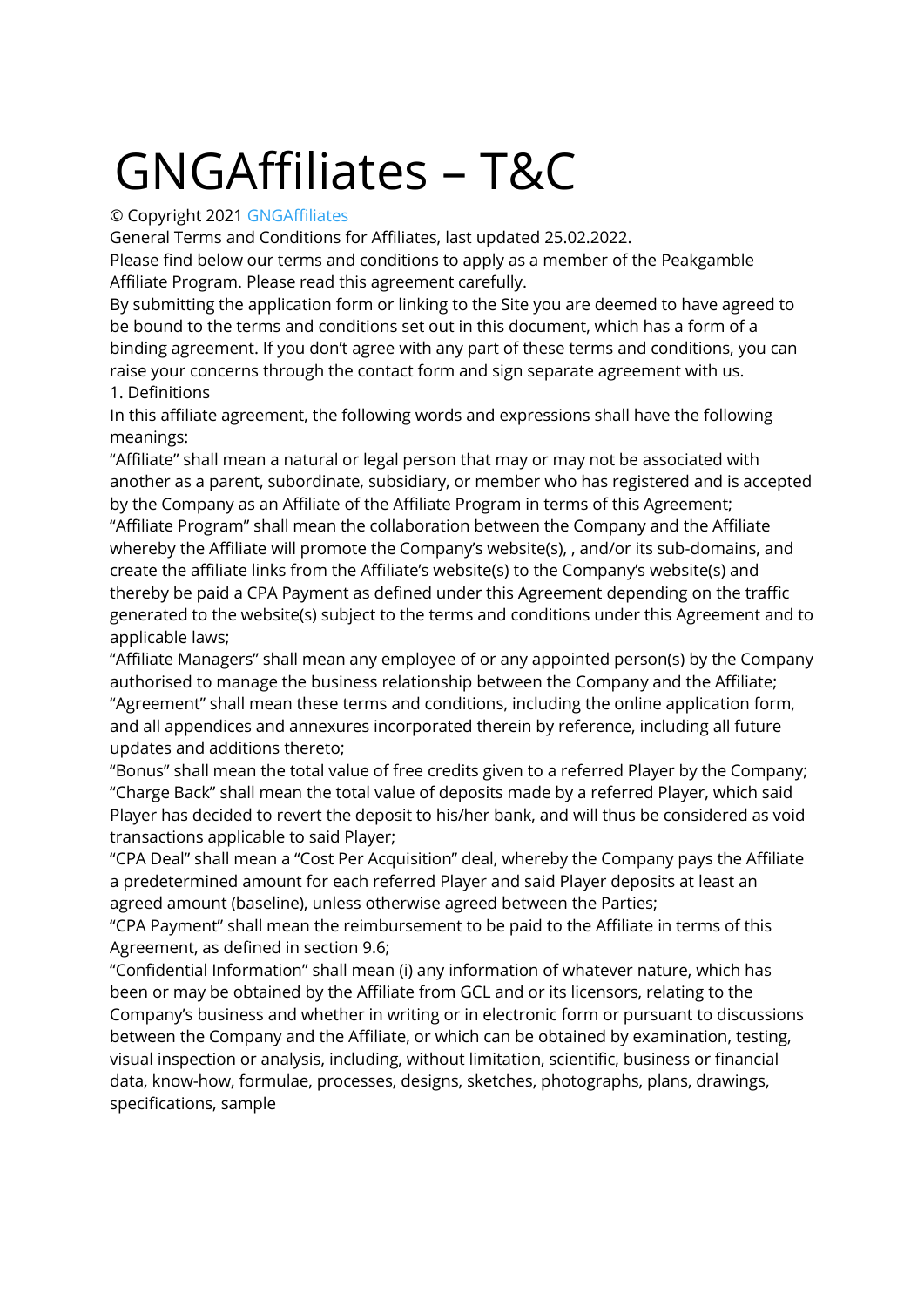# GNGAffiliates – T&C

# © Copyright 2021 GNGAffiliates

General Terms and Conditions for Affiliates, last updated 25.02.2022.

Please find below our terms and conditions to apply as a member of the Peakgamble Affiliate Program. Please read this agreement carefully.

By submitting the application form or linking to the Site you are deemed to have agreed to be bound to the terms and conditions set out in this document, which has a form of a binding agreement. If you don't agree with any part of these terms and conditions, you can raise your concerns through the contact form and sign separate agreement with us.

1. Definitions

In this affiliate agreement, the following words and expressions shall have the following meanings:

"Affiliate" shall mean a natural or legal person that may or may not be associated with another as a parent, subordinate, subsidiary, or member who has registered and is accepted by the Company as an Affiliate of the Affiliate Program in terms of this Agreement; "Affiliate Program" shall mean the collaboration between the Company and the Affiliate whereby the Affiliate will promote the Company's website(s), , and/or its sub-domains, and create the affiliate links from the Affiliate's website(s) to the Company's website(s) and thereby be paid a CPA Payment as defined under this Agreement depending on the traffic generated to the website(s) subject to the terms and conditions under this Agreement and to applicable laws;

"Affiliate Managers" shall mean any employee of or any appointed person(s) by the Company authorised to manage the business relationship between the Company and the Affiliate; "Agreement" shall mean these terms and conditions, including the online application form, and all appendices and annexures incorporated therein by reference, including all future updates and additions thereto;

"Bonus" shall mean the total value of free credits given to a referred Player by the Company; "Charge Back" shall mean the total value of deposits made by a referred Player, which said Player has decided to revert the deposit to his/her bank, and will thus be considered as void transactions applicable to said Player;

"CPA Deal" shall mean a "Cost Per Acquisition" deal, whereby the Company pays the Affiliate a predetermined amount for each referred Player and said Player deposits at least an agreed amount (baseline), unless otherwise agreed between the Parties;

"CPA Payment" shall mean the reimbursement to be paid to the Affiliate in terms of this Agreement, as defined in section 9.6;

"Confidential Information" shall mean (i) any information of whatever nature, which has been or may be obtained by the Affiliate from GCL and or its licensors, relating to the Company's business and whether in writing or in electronic form or pursuant to discussions between the Company and the Affiliate, or which can be obtained by examination, testing, visual inspection or analysis, including, without limitation, scientific, business or financial data, know-how, formulae, processes, designs, sketches, photographs, plans, drawings, specifications, sample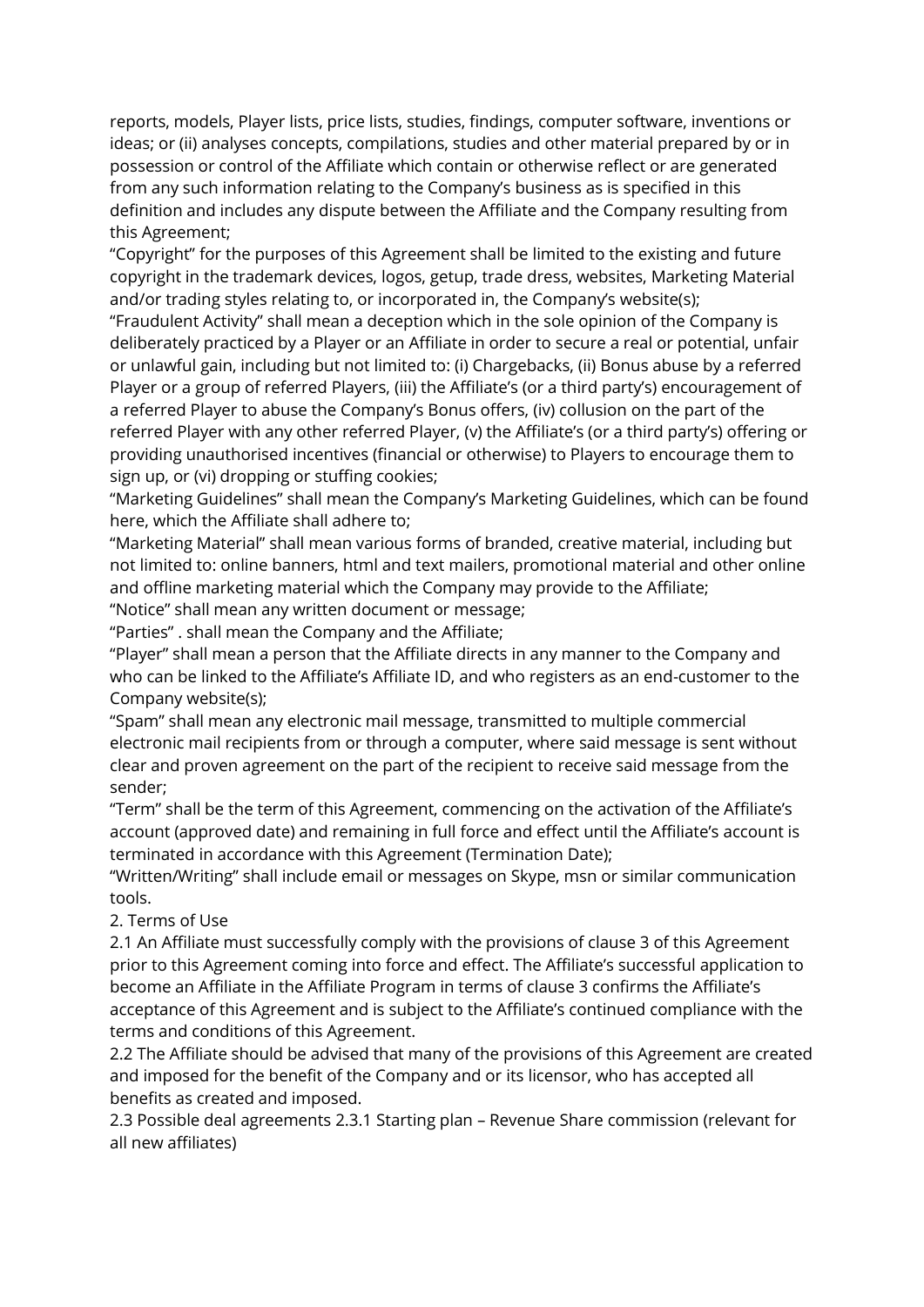reports, models, Player lists, price lists, studies, findings, computer software, inventions or ideas; or (ii) analyses concepts, compilations, studies and other material prepared by or in possession or control of the Affiliate which contain or otherwise reflect or are generated from any such information relating to the Company's business as is specified in this definition and includes any dispute between the Affiliate and the Company resulting from this Agreement;

"Copyright" for the purposes of this Agreement shall be limited to the existing and future copyright in the trademark devices, logos, getup, trade dress, websites, Marketing Material and/or trading styles relating to, or incorporated in, the Company's website(s); "Fraudulent Activity" shall mean a deception which in the sole opinion of the Company is deliberately practiced by a Player or an Affiliate in order to secure a real or potential, unfair or unlawful gain, including but not limited to: (i) Chargebacks, (ii) Bonus abuse by a referred Player or a group of referred Players, (iii) the Affiliate's (or a third party's) encouragement of a referred Player to abuse the Company's Bonus offers, (iv) collusion on the part of the referred Player with any other referred Player, (v) the Affiliate's (or a third party's) offering or providing unauthorised incentives (financial or otherwise) to Players to encourage them to

sign up, or (vi) dropping or stuffing cookies;

"Marketing Guidelines" shall mean the Company's Marketing Guidelines, which can be found here, which the Affiliate shall adhere to;

"Marketing Material" shall mean various forms of branded, creative material, including but not limited to: online banners, html and text mailers, promotional material and other online and offline marketing material which the Company may provide to the Affiliate;

"Notice" shall mean any written document or message;

"Parties" . shall mean the Company and the Affiliate;

"Player" shall mean a person that the Affiliate directs in any manner to the Company and who can be linked to the Affiliate's Affiliate ID, and who registers as an end-customer to the Company website(s);

"Spam" shall mean any electronic mail message, transmitted to multiple commercial electronic mail recipients from or through a computer, where said message is sent without clear and proven agreement on the part of the recipient to receive said message from the sender;

"Term" shall be the term of this Agreement, commencing on the activation of the Affiliate's account (approved date) and remaining in full force and effect until the Affiliate's account is terminated in accordance with this Agreement (Termination Date);

"Written/Writing" shall include email or messages on Skype, msn or similar communication tools.

2. Terms of Use

2.1 An Affiliate must successfully comply with the provisions of clause 3 of this Agreement prior to this Agreement coming into force and effect. The Affiliate's successful application to become an Affiliate in the Affiliate Program in terms of clause 3 confirms the Affiliate's acceptance of this Agreement and is subject to the Affiliate's continued compliance with the terms and conditions of this Agreement.

2.2 The Affiliate should be advised that many of the provisions of this Agreement are created and imposed for the benefit of the Company and or its licensor, who has accepted all benefits as created and imposed.

2.3 Possible deal agreements 2.3.1 Starting plan – Revenue Share commission (relevant for all new affiliates)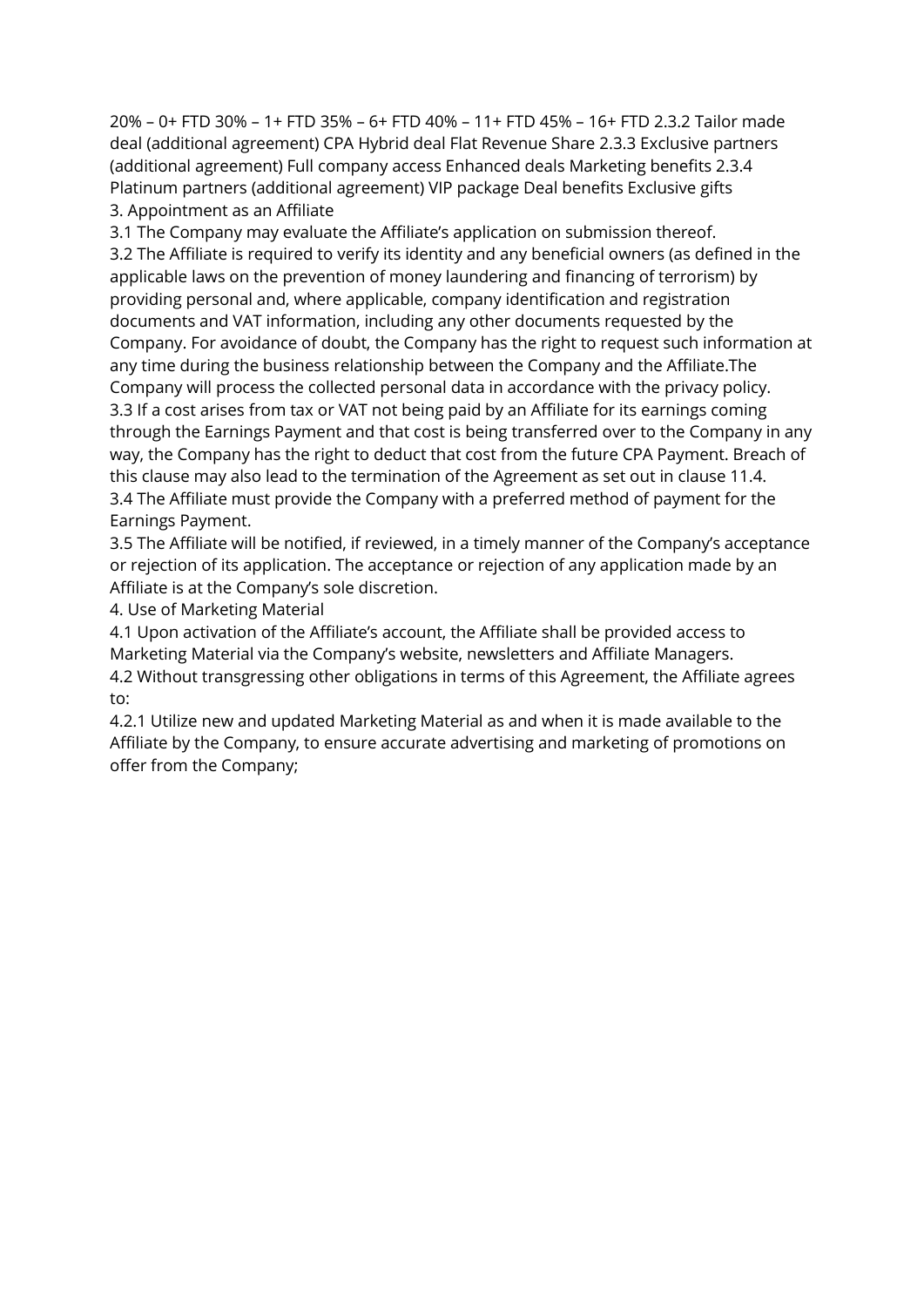20% – 0+ FTD 30% – 1+ FTD 35% – 6+ FTD 40% – 11+ FTD 45% – 16+ FTD 2.3.2 Tailor made deal (additional agreement) CPA Hybrid deal Flat Revenue Share 2.3.3 Exclusive partners (additional agreement) Full company access Enhanced deals Marketing benefits 2.3.4 Platinum partners (additional agreement) VIP package Deal benefits Exclusive gifts 3. Appointment as an Affiliate

3.1 The Company may evaluate the Affiliate's application on submission thereof. 3.2 The Affiliate is required to verify its identity and any beneficial owners (as defined in the applicable laws on the prevention of money laundering and financing of terrorism) by providing personal and, where applicable, company identification and registration documents and VAT information, including any other documents requested by the Company. For avoidance of doubt, the Company has the right to request such information at any time during the business relationship between the Company and the Affiliate.The Company will process the collected personal data in accordance with the privacy policy. 3.3 If a cost arises from tax or VAT not being paid by an Affiliate for its earnings coming through the Earnings Payment and that cost is being transferred over to the Company in any way, the Company has the right to deduct that cost from the future CPA Payment. Breach of this clause may also lead to the termination of the Agreement as set out in clause 11.4. 3.4 The Affiliate must provide the Company with a preferred method of payment for the Earnings Payment.

3.5 The Affiliate will be notified, if reviewed, in a timely manner of the Company's acceptance or rejection of its application. The acceptance or rejection of any application made by an Affiliate is at the Company's sole discretion.

4. Use of Marketing Material

4.1 Upon activation of the Affiliate's account, the Affiliate shall be provided access to Marketing Material via the Company's website, newsletters and Affiliate Managers. 4.2 Without transgressing other obligations in terms of this Agreement, the Affiliate agrees to:

4.2.1 Utilize new and updated Marketing Material as and when it is made available to the Affiliate by the Company, to ensure accurate advertising and marketing of promotions on offer from the Company;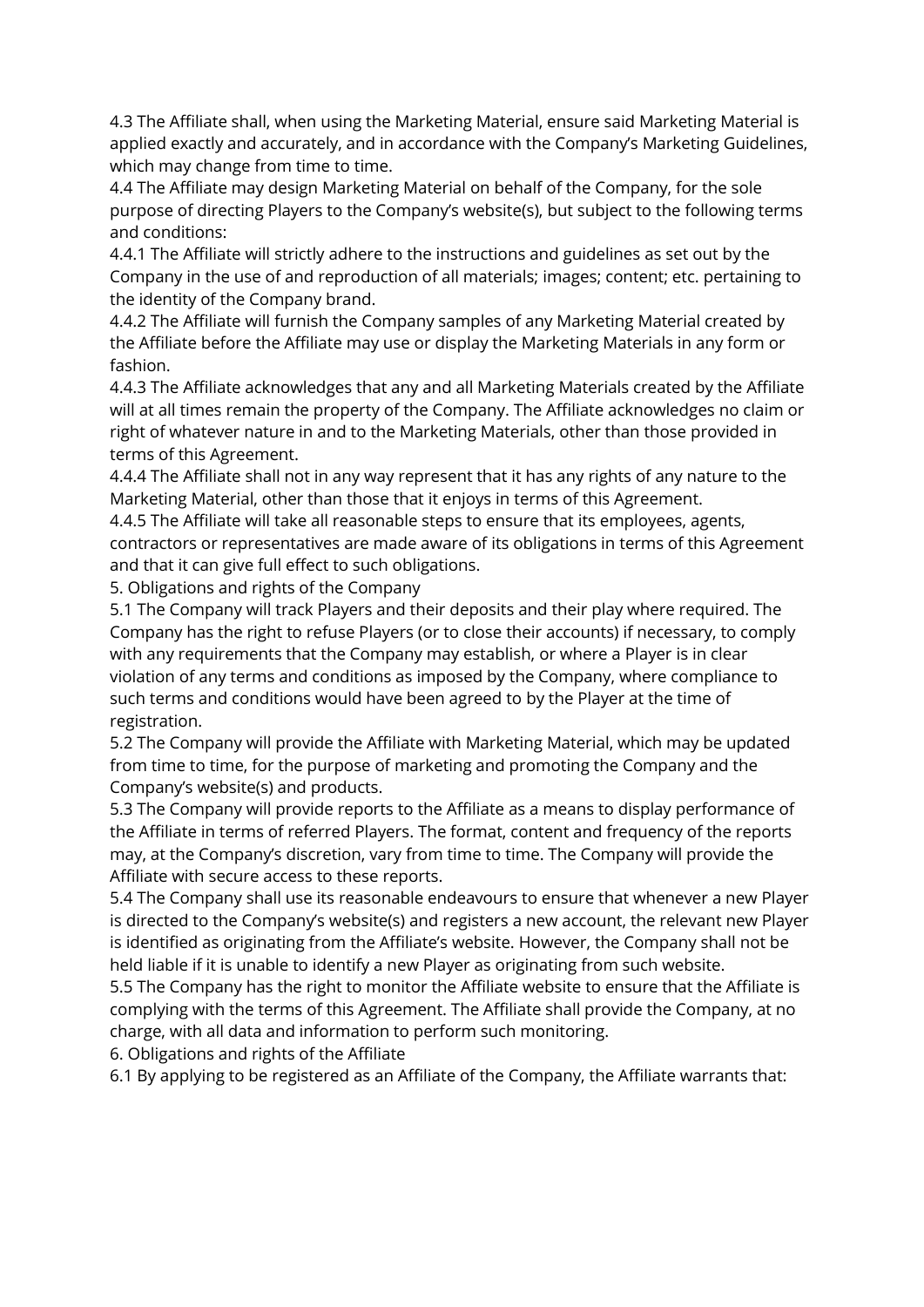4.3 The Affiliate shall, when using the Marketing Material, ensure said Marketing Material is applied exactly and accurately, and in accordance with the Company's Marketing Guidelines, which may change from time to time.

4.4 The Affiliate may design Marketing Material on behalf of the Company, for the sole purpose of directing Players to the Company's website(s), but subject to the following terms and conditions:

4.4.1 The Affiliate will strictly adhere to the instructions and guidelines as set out by the Company in the use of and reproduction of all materials; images; content; etc. pertaining to the identity of the Company brand.

4.4.2 The Affiliate will furnish the Company samples of any Marketing Material created by the Affiliate before the Affiliate may use or display the Marketing Materials in any form or fashion.

4.4.3 The Affiliate acknowledges that any and all Marketing Materials created by the Affiliate will at all times remain the property of the Company. The Affiliate acknowledges no claim or right of whatever nature in and to the Marketing Materials, other than those provided in terms of this Agreement.

4.4.4 The Affiliate shall not in any way represent that it has any rights of any nature to the Marketing Material, other than those that it enjoys in terms of this Agreement.

4.4.5 The Affiliate will take all reasonable steps to ensure that its employees, agents, contractors or representatives are made aware of its obligations in terms of this Agreement and that it can give full effect to such obligations.

5. Obligations and rights of the Company

5.1 The Company will track Players and their deposits and their play where required. The Company has the right to refuse Players (or to close their accounts) if necessary, to comply with any requirements that the Company may establish, or where a Player is in clear violation of any terms and conditions as imposed by the Company, where compliance to such terms and conditions would have been agreed to by the Player at the time of registration.

5.2 The Company will provide the Affiliate with Marketing Material, which may be updated from time to time, for the purpose of marketing and promoting the Company and the Company's website(s) and products.

5.3 The Company will provide reports to the Affiliate as a means to display performance of the Affiliate in terms of referred Players. The format, content and frequency of the reports may, at the Company's discretion, vary from time to time. The Company will provide the Affiliate with secure access to these reports.

5.4 The Company shall use its reasonable endeavours to ensure that whenever a new Player is directed to the Company's website(s) and registers a new account, the relevant new Player is identified as originating from the Affiliate's website. However, the Company shall not be held liable if it is unable to identify a new Player as originating from such website.

5.5 The Company has the right to monitor the Affiliate website to ensure that the Affiliate is complying with the terms of this Agreement. The Affiliate shall provide the Company, at no charge, with all data and information to perform such monitoring.

6. Obligations and rights of the Affiliate

6.1 By applying to be registered as an Affiliate of the Company, the Affiliate warrants that: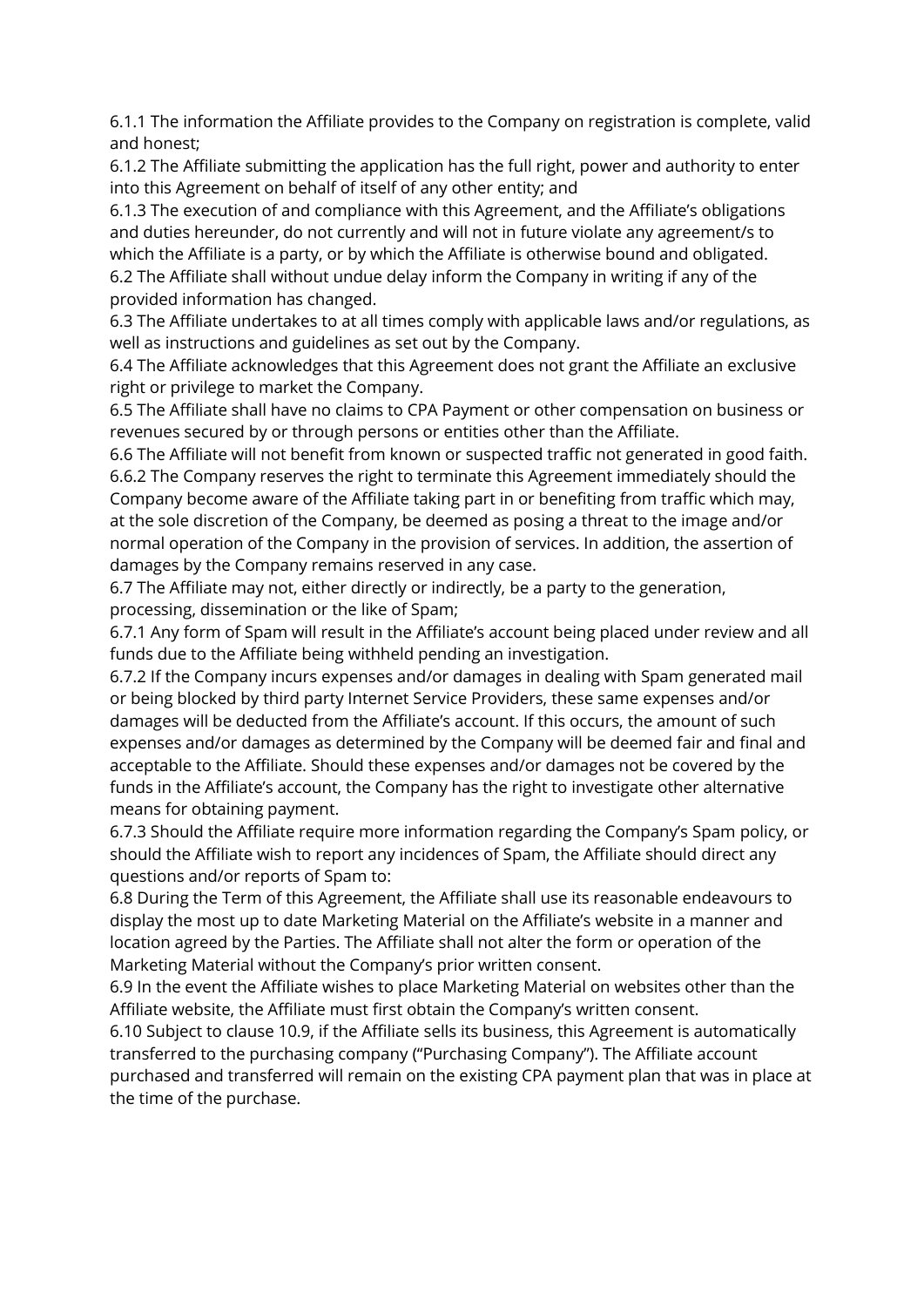6.1.1 The information the Affiliate provides to the Company on registration is complete, valid and honest;

6.1.2 The Affiliate submitting the application has the full right, power and authority to enter into this Agreement on behalf of itself of any other entity; and

6.1.3 The execution of and compliance with this Agreement, and the Affiliate's obligations and duties hereunder, do not currently and will not in future violate any agreement/s to which the Affiliate is a party, or by which the Affiliate is otherwise bound and obligated. 6.2 The Affiliate shall without undue delay inform the Company in writing if any of the provided information has changed.

6.3 The Affiliate undertakes to at all times comply with applicable laws and/or regulations, as well as instructions and guidelines as set out by the Company.

6.4 The Affiliate acknowledges that this Agreement does not grant the Affiliate an exclusive right or privilege to market the Company.

6.5 The Affiliate shall have no claims to CPA Payment or other compensation on business or revenues secured by or through persons or entities other than the Affiliate.

6.6 The Affiliate will not benefit from known or suspected traffic not generated in good faith. 6.6.2 The Company reserves the right to terminate this Agreement immediately should the Company become aware of the Affiliate taking part in or benefiting from traffic which may, at the sole discretion of the Company, be deemed as posing a threat to the image and/or normal operation of the Company in the provision of services. In addition, the assertion of damages by the Company remains reserved in any case.

6.7 The Affiliate may not, either directly or indirectly, be a party to the generation, processing, dissemination or the like of Spam;

6.7.1 Any form of Spam will result in the Affiliate's account being placed under review and all funds due to the Affiliate being withheld pending an investigation.

6.7.2 If the Company incurs expenses and/or damages in dealing with Spam generated mail or being blocked by third party Internet Service Providers, these same expenses and/or damages will be deducted from the Affiliate's account. If this occurs, the amount of such expenses and/or damages as determined by the Company will be deemed fair and final and acceptable to the Affiliate. Should these expenses and/or damages not be covered by the funds in the Affiliate's account, the Company has the right to investigate other alternative means for obtaining payment.

6.7.3 Should the Affiliate require more information regarding the Company's Spam policy, or should the Affiliate wish to report any incidences of Spam, the Affiliate should direct any questions and/or reports of Spam to:

6.8 During the Term of this Agreement, the Affiliate shall use its reasonable endeavours to display the most up to date Marketing Material on the Affiliate's website in a manner and location agreed by the Parties. The Affiliate shall not alter the form or operation of the Marketing Material without the Company's prior written consent.

6.9 In the event the Affiliate wishes to place Marketing Material on websites other than the Affiliate website, the Affiliate must first obtain the Company's written consent.

6.10 Subject to clause 10.9, if the Affiliate sells its business, this Agreement is automatically transferred to the purchasing company ("Purchasing Company"). The Affiliate account purchased and transferred will remain on the existing CPA payment plan that was in place at the time of the purchase.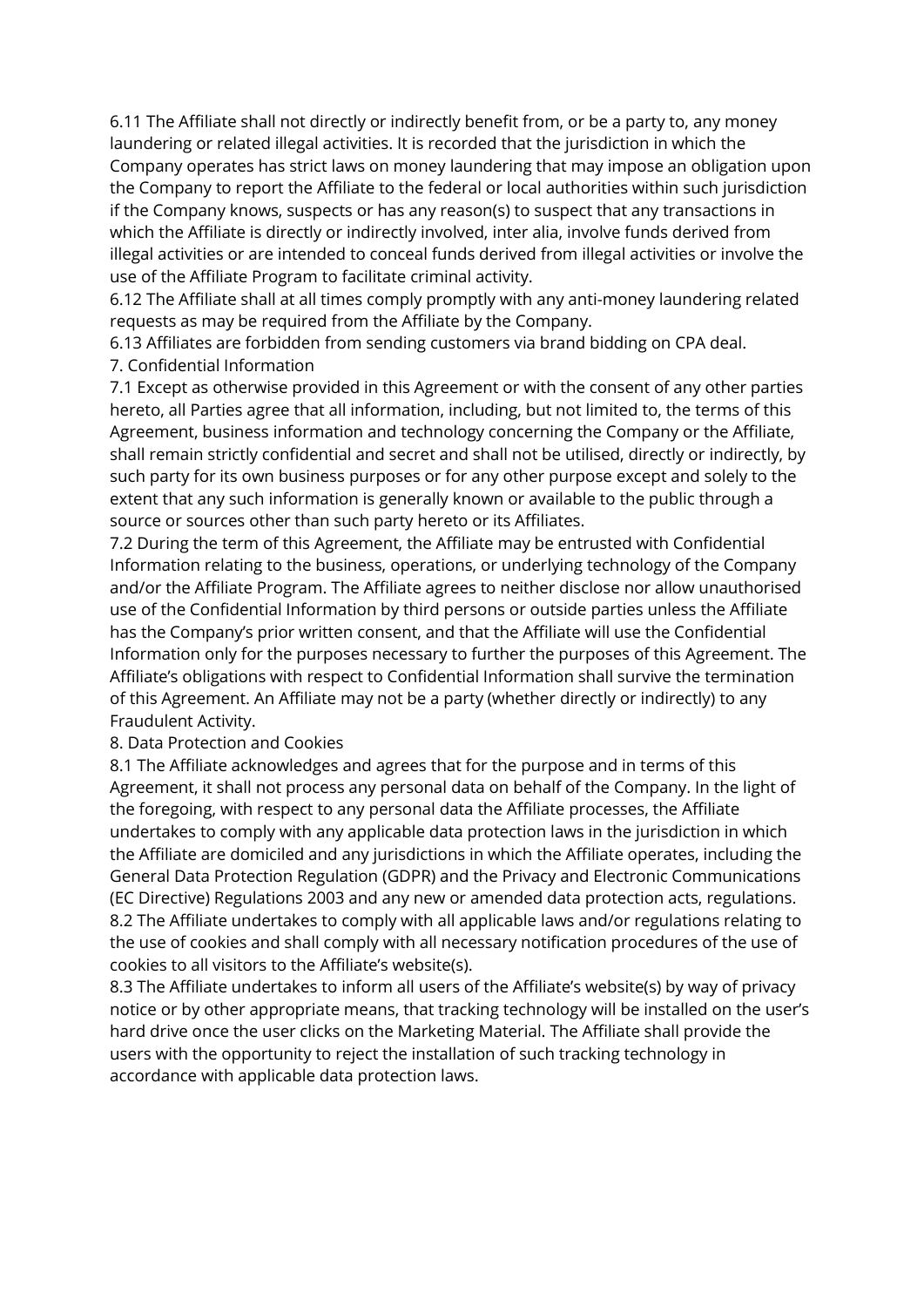6.11 The Affiliate shall not directly or indirectly benefit from, or be a party to, any money laundering or related illegal activities. It is recorded that the jurisdiction in which the Company operates has strict laws on money laundering that may impose an obligation upon the Company to report the Affiliate to the federal or local authorities within such jurisdiction if the Company knows, suspects or has any reason(s) to suspect that any transactions in which the Affiliate is directly or indirectly involved, inter alia, involve funds derived from illegal activities or are intended to conceal funds derived from illegal activities or involve the use of the Affiliate Program to facilitate criminal activity.

6.12 The Affiliate shall at all times comply promptly with any anti-money laundering related requests as may be required from the Affiliate by the Company.

6.13 Affiliates are forbidden from sending customers via brand bidding on CPA deal. 7. Confidential Information

7.1 Except as otherwise provided in this Agreement or with the consent of any other parties hereto, all Parties agree that all information, including, but not limited to, the terms of this Agreement, business information and technology concerning the Company or the Affiliate, shall remain strictly confidential and secret and shall not be utilised, directly or indirectly, by such party for its own business purposes or for any other purpose except and solely to the extent that any such information is generally known or available to the public through a source or sources other than such party hereto or its Affiliates.

7.2 During the term of this Agreement, the Affiliate may be entrusted with Confidential Information relating to the business, operations, or underlying technology of the Company and/or the Affiliate Program. The Affiliate agrees to neither disclose nor allow unauthorised use of the Confidential Information by third persons or outside parties unless the Affiliate has the Company's prior written consent, and that the Affiliate will use the Confidential Information only for the purposes necessary to further the purposes of this Agreement. The Affiliate's obligations with respect to Confidential Information shall survive the termination of this Agreement. An Affiliate may not be a party (whether directly or indirectly) to any Fraudulent Activity.

#### 8. Data Protection and Cookies

8.1 The Affiliate acknowledges and agrees that for the purpose and in terms of this Agreement, it shall not process any personal data on behalf of the Company. In the light of the foregoing, with respect to any personal data the Affiliate processes, the Affiliate undertakes to comply with any applicable data protection laws in the jurisdiction in which the Affiliate are domiciled and any jurisdictions in which the Affiliate operates, including the General Data Protection Regulation (GDPR) and the Privacy and Electronic Communications (EC Directive) Regulations 2003 and any new or amended data protection acts, regulations. 8.2 The Affiliate undertakes to comply with all applicable laws and/or regulations relating to the use of cookies and shall comply with all necessary notification procedures of the use of cookies to all visitors to the Affiliate's website(s).

8.3 The Affiliate undertakes to inform all users of the Affiliate's website(s) by way of privacy notice or by other appropriate means, that tracking technology will be installed on the user's hard drive once the user clicks on the Marketing Material. The Affiliate shall provide the users with the opportunity to reject the installation of such tracking technology in accordance with applicable data protection laws.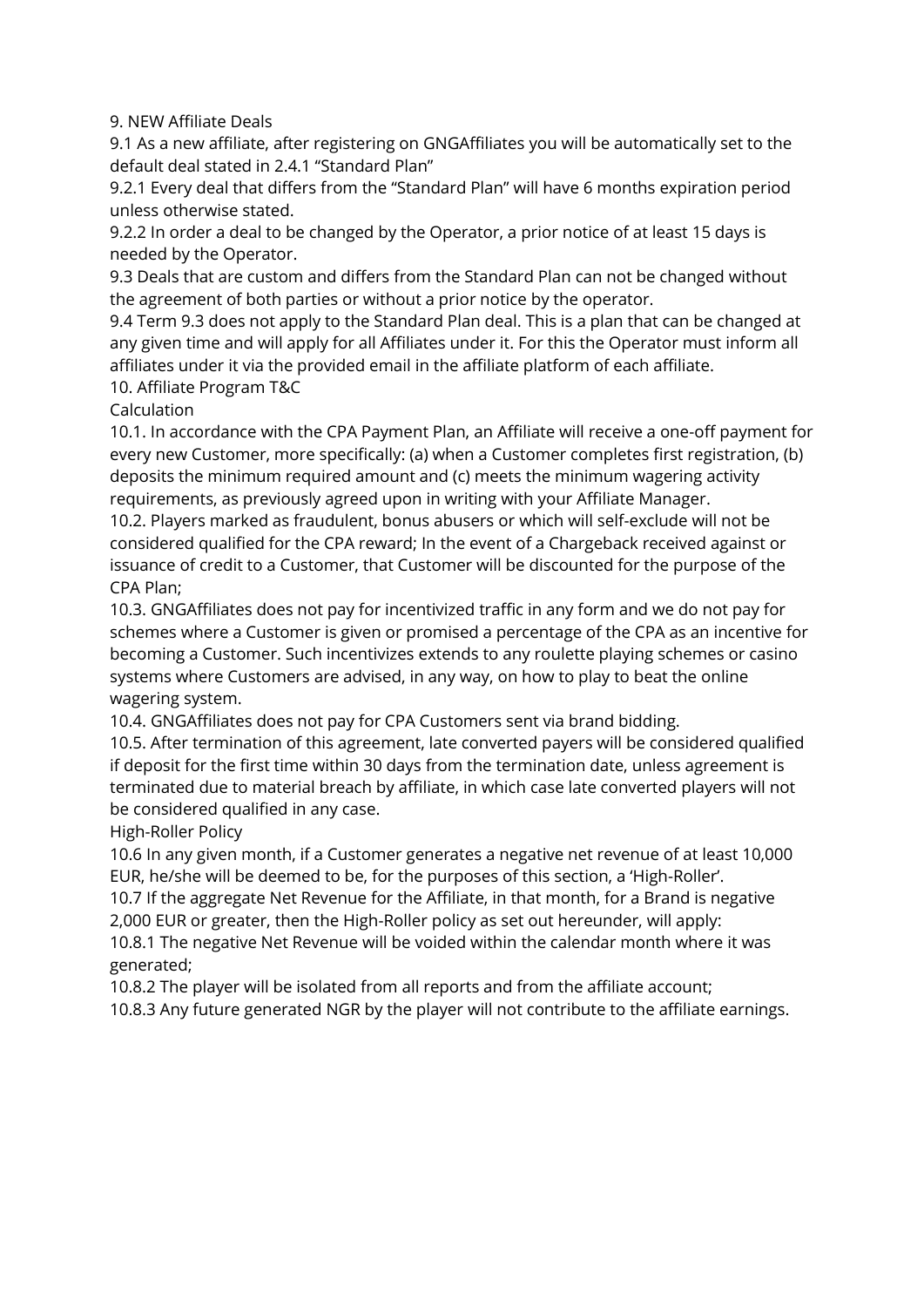## 9. NEW Affiliate Deals

9.1 As a new affiliate, after registering on GNGAffiliates you will be automatically set to the default deal stated in 2.4.1 "Standard Plan"

9.2.1 Every deal that differs from the "Standard Plan" will have 6 months expiration period unless otherwise stated.

9.2.2 In order a deal to be changed by the Operator, a prior notice of at least 15 days is needed by the Operator.

9.3 Deals that are custom and differs from the Standard Plan can not be changed without the agreement of both parties or without a prior notice by the operator.

9.4 Term 9.3 does not apply to the Standard Plan deal. This is a plan that can be changed at any given time and will apply for all Affiliates under it. For this the Operator must inform all affiliates under it via the provided email in the affiliate platform of each affiliate.

10. Affiliate Program T&C

## Calculation

10.1. In accordance with the CPA Payment Plan, an Affiliate will receive a one-off payment for every new Customer, more specifically: (a) when a Customer completes first registration, (b) deposits the minimum required amount and (c) meets the minimum wagering activity requirements, as previously agreed upon in writing with your Affiliate Manager.

10.2. Players marked as fraudulent, bonus abusers or which will self-exclude will not be considered qualified for the CPA reward; In the event of a Chargeback received against or issuance of credit to a Customer, that Customer will be discounted for the purpose of the CPA Plan;

10.3. GNGAffiliates does not pay for incentivized traffic in any form and we do not pay for schemes where a Customer is given or promised a percentage of the CPA as an incentive for becoming a Customer. Such incentivizes extends to any roulette playing schemes or casino systems where Customers are advised, in any way, on how to play to beat the online wagering system.

10.4. GNGAffiliates does not pay for CPA Customers sent via brand bidding.

10.5. After termination of this agreement, late converted payers will be considered qualified if deposit for the first time within 30 days from the termination date, unless agreement is terminated due to material breach by affiliate, in which case late converted players will not be considered qualified in any case.

High-Roller Policy

10.6 In any given month, if a Customer generates a negative net revenue of at least 10,000 EUR, he/she will be deemed to be, for the purposes of this section, a 'High-Roller'.

10.7 If the aggregate Net Revenue for the Affiliate, in that month, for a Brand is negative 2,000 EUR or greater, then the High-Roller policy as set out hereunder, will apply:

10.8.1 The negative Net Revenue will be voided within the calendar month where it was generated;

10.8.2 The player will be isolated from all reports and from the affiliate account;

10.8.3 Any future generated NGR by the player will not contribute to the affiliate earnings.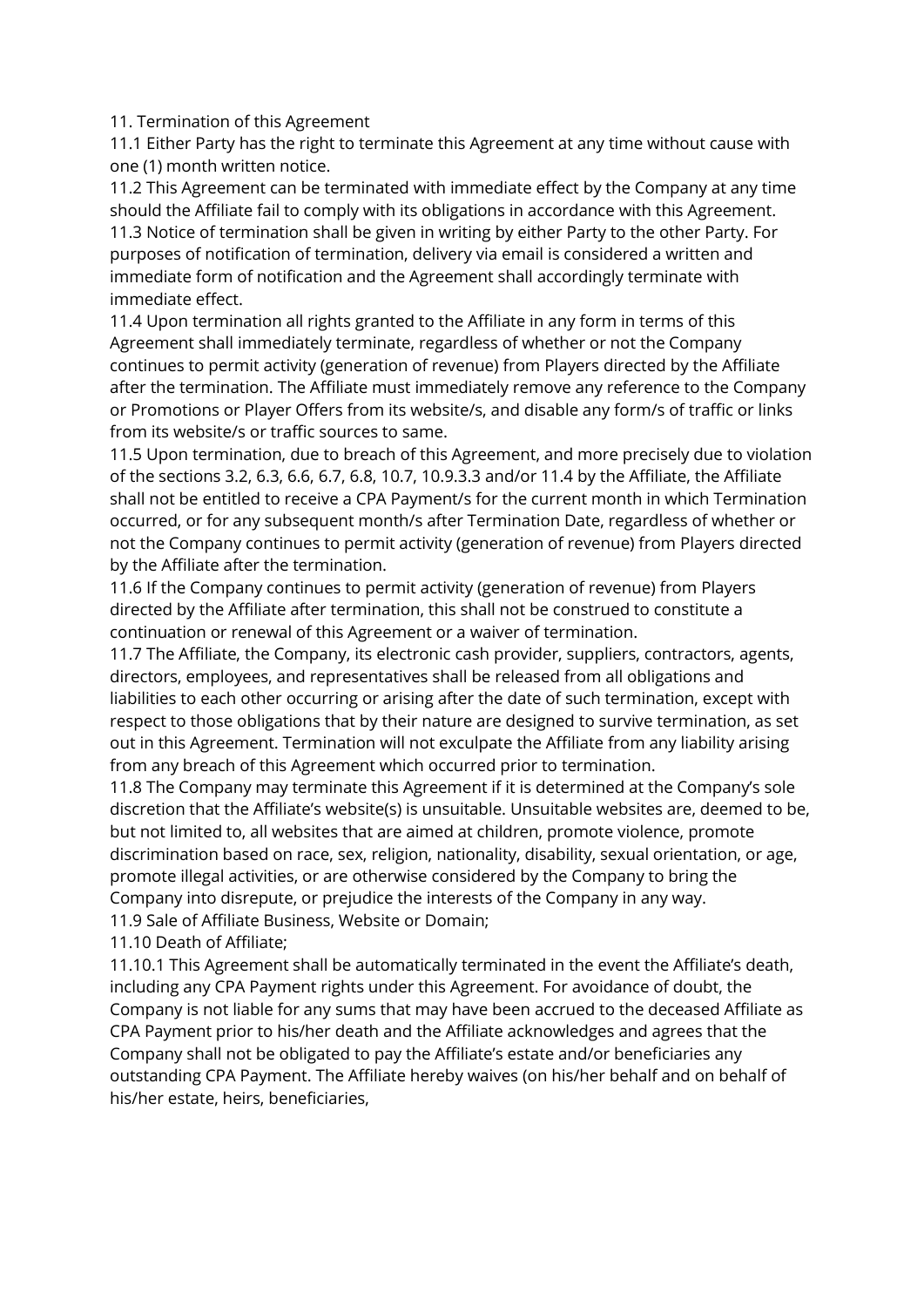11. Termination of this Agreement

11.1 Either Party has the right to terminate this Agreement at any time without cause with one (1) month written notice.

11.2 This Agreement can be terminated with immediate effect by the Company at any time should the Affiliate fail to comply with its obligations in accordance with this Agreement. 11.3 Notice of termination shall be given in writing by either Party to the other Party. For purposes of notification of termination, delivery via email is considered a written and immediate form of notification and the Agreement shall accordingly terminate with immediate effect.

11.4 Upon termination all rights granted to the Affiliate in any form in terms of this Agreement shall immediately terminate, regardless of whether or not the Company continues to permit activity (generation of revenue) from Players directed by the Affiliate after the termination. The Affiliate must immediately remove any reference to the Company or Promotions or Player Offers from its website/s, and disable any form/s of traffic or links from its website/s or traffic sources to same.

11.5 Upon termination, due to breach of this Agreement, and more precisely due to violation of the sections 3.2, 6.3, 6.6, 6.7, 6.8, 10.7, 10.9.3.3 and/or 11.4 by the Affiliate, the Affiliate shall not be entitled to receive a CPA Payment/s for the current month in which Termination occurred, or for any subsequent month/s after Termination Date, regardless of whether or not the Company continues to permit activity (generation of revenue) from Players directed by the Affiliate after the termination.

11.6 If the Company continues to permit activity (generation of revenue) from Players directed by the Affiliate after termination, this shall not be construed to constitute a continuation or renewal of this Agreement or a waiver of termination.

11.7 The Affiliate, the Company, its electronic cash provider, suppliers, contractors, agents, directors, employees, and representatives shall be released from all obligations and liabilities to each other occurring or arising after the date of such termination, except with respect to those obligations that by their nature are designed to survive termination, as set out in this Agreement. Termination will not exculpate the Affiliate from any liability arising from any breach of this Agreement which occurred prior to termination.

11.8 The Company may terminate this Agreement if it is determined at the Company's sole discretion that the Affiliate's website(s) is unsuitable. Unsuitable websites are, deemed to be, but not limited to, all websites that are aimed at children, promote violence, promote discrimination based on race, sex, religion, nationality, disability, sexual orientation, or age, promote illegal activities, or are otherwise considered by the Company to bring the Company into disrepute, or prejudice the interests of the Company in any way.

11.9 Sale of Affiliate Business, Website or Domain;

11.10 Death of Affiliate;

11.10.1 This Agreement shall be automatically terminated in the event the Affiliate's death, including any CPA Payment rights under this Agreement. For avoidance of doubt, the Company is not liable for any sums that may have been accrued to the deceased Affiliate as CPA Payment prior to his/her death and the Affiliate acknowledges and agrees that the Company shall not be obligated to pay the Affiliate's estate and/or beneficiaries any outstanding CPA Payment. The Affiliate hereby waives (on his/her behalf and on behalf of his/her estate, heirs, beneficiaries,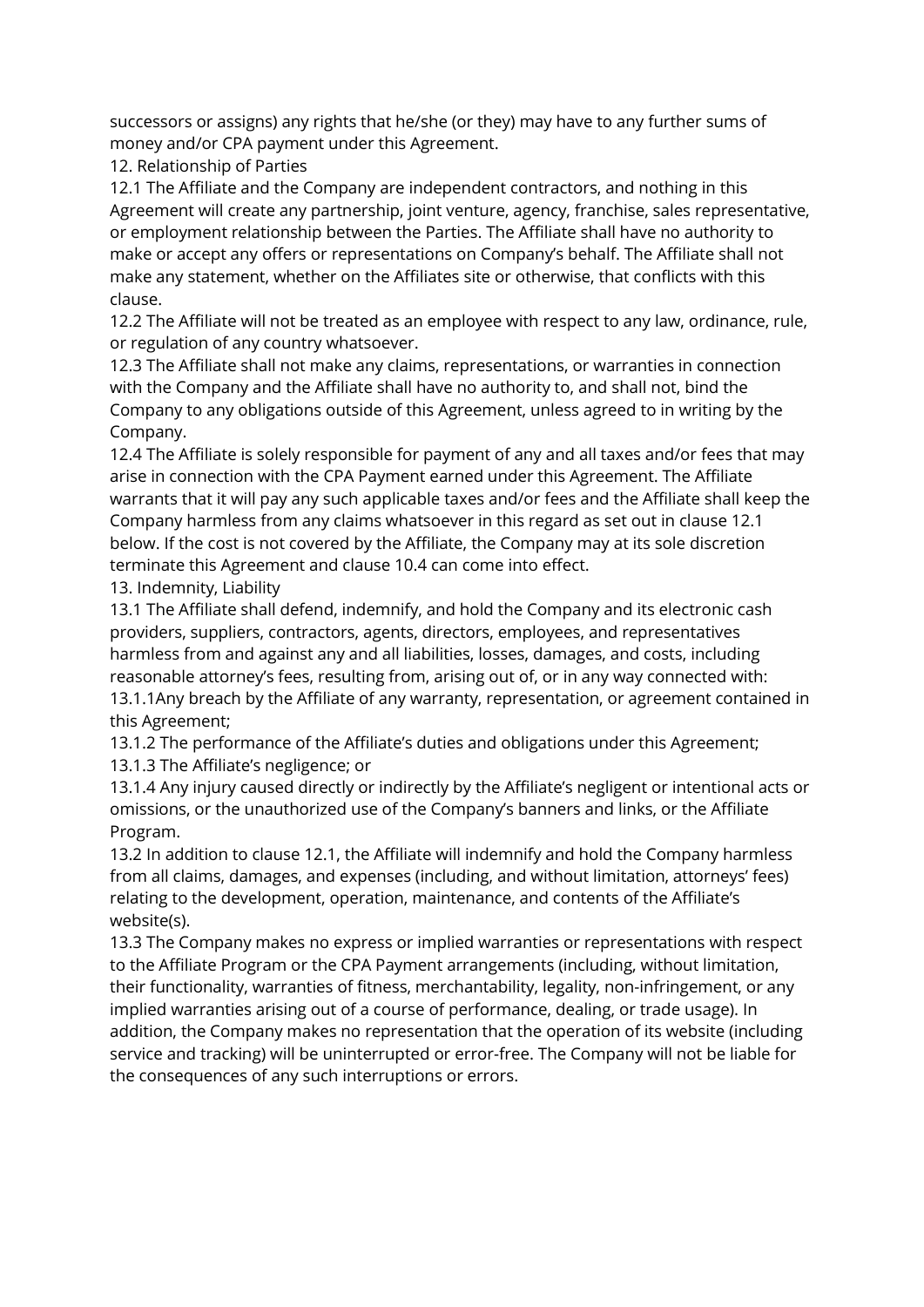successors or assigns) any rights that he/she (or they) may have to any further sums of money and/or CPA payment under this Agreement.

12. Relationship of Parties

12.1 The Affiliate and the Company are independent contractors, and nothing in this Agreement will create any partnership, joint venture, agency, franchise, sales representative, or employment relationship between the Parties. The Affiliate shall have no authority to make or accept any offers or representations on Company's behalf. The Affiliate shall not make any statement, whether on the Affiliates site or otherwise, that conflicts with this clause.

12.2 The Affiliate will not be treated as an employee with respect to any law, ordinance, rule, or regulation of any country whatsoever.

12.3 The Affiliate shall not make any claims, representations, or warranties in connection with the Company and the Affiliate shall have no authority to, and shall not, bind the Company to any obligations outside of this Agreement, unless agreed to in writing by the Company.

12.4 The Affiliate is solely responsible for payment of any and all taxes and/or fees that may arise in connection with the CPA Payment earned under this Agreement. The Affiliate warrants that it will pay any such applicable taxes and/or fees and the Affiliate shall keep the Company harmless from any claims whatsoever in this regard as set out in clause 12.1 below. If the cost is not covered by the Affiliate, the Company may at its sole discretion terminate this Agreement and clause 10.4 can come into effect.

13. Indemnity, Liability

13.1 The Affiliate shall defend, indemnify, and hold the Company and its electronic cash providers, suppliers, contractors, agents, directors, employees, and representatives harmless from and against any and all liabilities, losses, damages, and costs, including reasonable attorney's fees, resulting from, arising out of, or in any way connected with: 13.1.1Any breach by the Affiliate of any warranty, representation, or agreement contained in this Agreement;

13.1.2 The performance of the Affiliate's duties and obligations under this Agreement; 13.1.3 The Affiliate's negligence; or

13.1.4 Any injury caused directly or indirectly by the Affiliate's negligent or intentional acts or omissions, or the unauthorized use of the Company's banners and links, or the Affiliate Program.

13.2 In addition to clause 12.1, the Affiliate will indemnify and hold the Company harmless from all claims, damages, and expenses (including, and without limitation, attorneys' fees) relating to the development, operation, maintenance, and contents of the Affiliate's website(s).

13.3 The Company makes no express or implied warranties or representations with respect to the Affiliate Program or the CPA Payment arrangements (including, without limitation, their functionality, warranties of fitness, merchantability, legality, non-infringement, or any implied warranties arising out of a course of performance, dealing, or trade usage). In addition, the Company makes no representation that the operation of its website (including service and tracking) will be uninterrupted or error-free. The Company will not be liable for the consequences of any such interruptions or errors.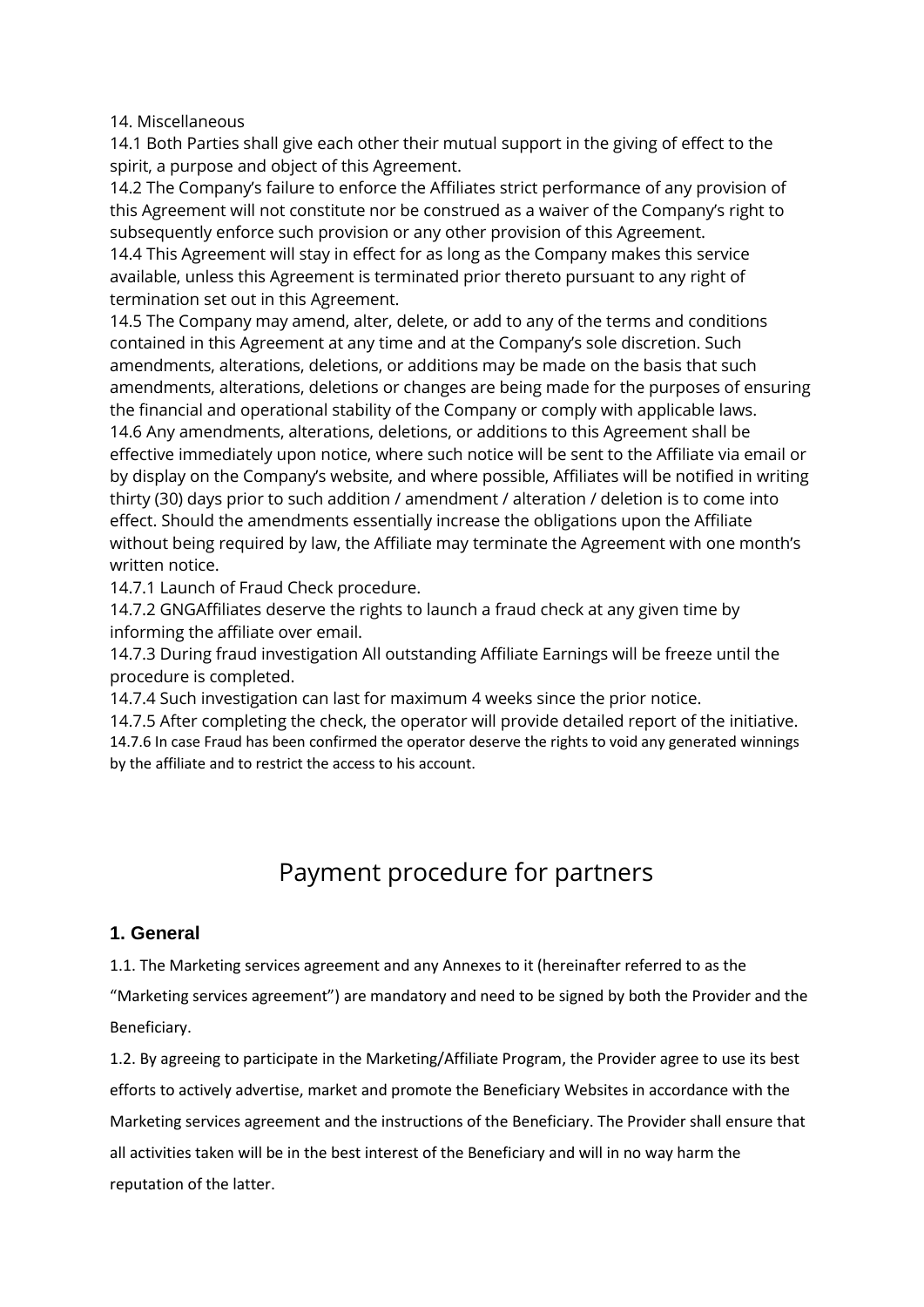#### 14. Miscellaneous

14.1 Both Parties shall give each other their mutual support in the giving of effect to the spirit, a purpose and object of this Agreement.

14.2 The Company's failure to enforce the Affiliates strict performance of any provision of this Agreement will not constitute nor be construed as a waiver of the Company's right to subsequently enforce such provision or any other provision of this Agreement.

14.4 This Agreement will stay in effect for as long as the Company makes this service available, unless this Agreement is terminated prior thereto pursuant to any right of termination set out in this Agreement.

14.5 The Company may amend, alter, delete, or add to any of the terms and conditions contained in this Agreement at any time and at the Company's sole discretion. Such amendments, alterations, deletions, or additions may be made on the basis that such amendments, alterations, deletions or changes are being made for the purposes of ensuring the financial and operational stability of the Company or comply with applicable laws. 14.6 Any amendments, alterations, deletions, or additions to this Agreement shall be effective immediately upon notice, where such notice will be sent to the Affiliate via email or by display on the Company's website, and where possible, Affiliates will be notified in writing thirty (30) days prior to such addition / amendment / alteration / deletion is to come into effect. Should the amendments essentially increase the obligations upon the Affiliate without being required by law, the Affiliate may terminate the Agreement with one month's

14.7.1 Launch of Fraud Check procedure.

14.7.2 GNGAffiliates deserve the rights to launch a fraud check at any given time by informing the affiliate over email.

14.7.3 During fraud investigation All outstanding Affiliate Earnings will be freeze until the procedure is completed.

14.7.4 Such investigation can last for maximum 4 weeks since the prior notice.

14.7.5 After completing the check, the operator will provide detailed report of the initiative. 14.7.6 In case Fraud has been confirmed the operator deserve the rights to void any generated winnings by the affiliate and to restrict the access to his account.

# Payment procedure for partners

# **1. General**

written notice.

1.1. The Marketing services agreement and any Annexes to it (hereinafter referred to as the

"Marketing services agreement") are mandatory and need to be signed by both the Provider and the Beneficiary.

1.2. By agreeing to participate in the Marketing/Affiliate Program, the Provider agree to use its best efforts to actively advertise, market and promote the Beneficiary Websites in accordance with the Marketing services agreement and the instructions of the Beneficiary. The Provider shall ensure that all activities taken will be in the best interest of the Beneficiary and will in no way harm the reputation of the latter.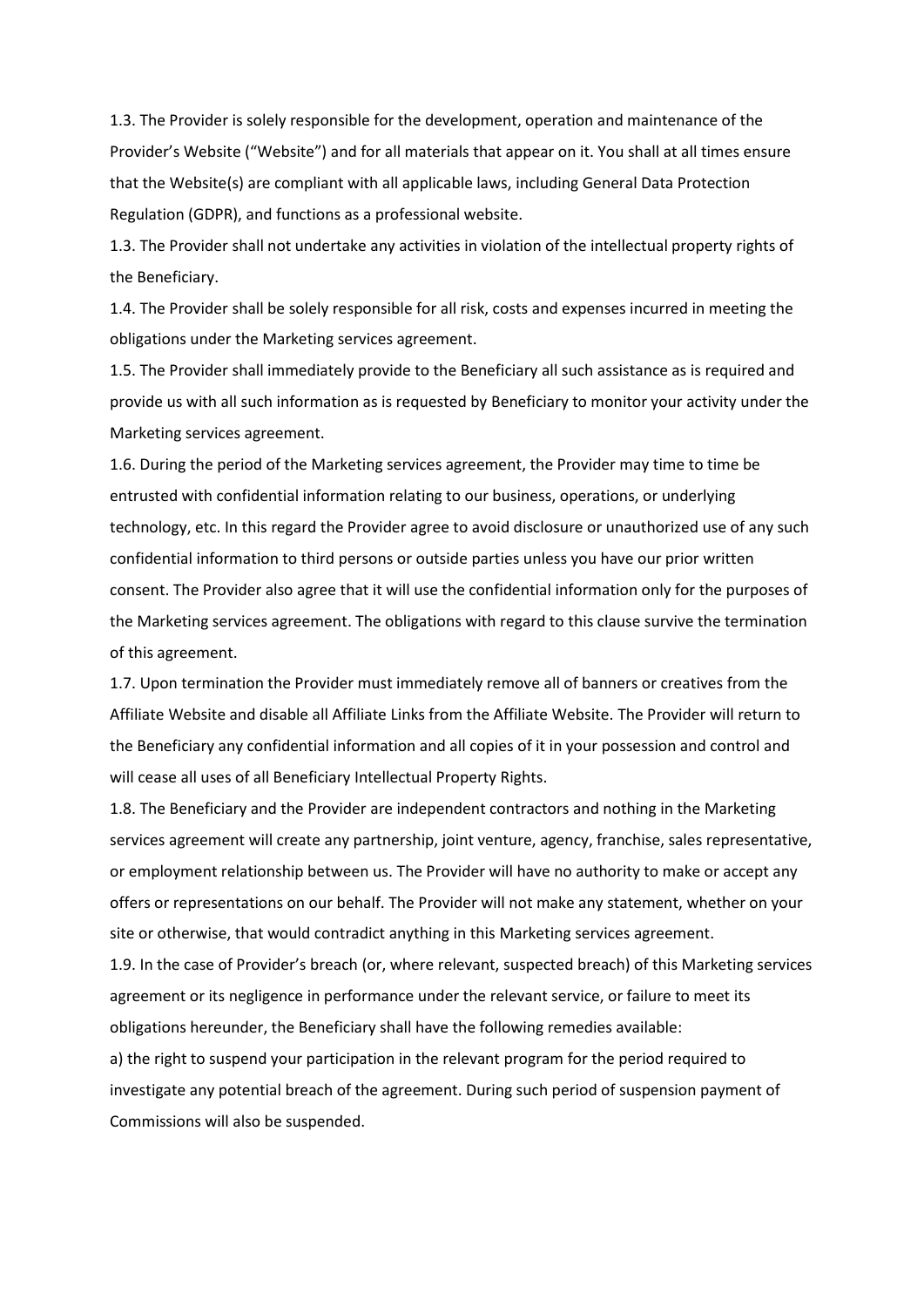1.3. The Provider is solely responsible for the development, operation and maintenance of the Provider's Website ("Website") and for all materials that appear on it. You shall at all times ensure that the Website(s) are compliant with all applicable laws, including General Data Protection Regulation (GDPR), and functions as a professional website.

1.3. The Provider shall not undertake any activities in violation of the intellectual property rights of the Beneficiary.

1.4. The Provider shall be solely responsible for all risk, costs and expenses incurred in meeting the obligations under the Marketing services agreement.

1.5. The Provider shall immediately provide to the Beneficiary all such assistance as is required and provide us with all such information as is requested by Beneficiary to monitor your activity under the Marketing services agreement.

1.6. During the period of the Marketing services agreement, the Provider may time to time be entrusted with confidential information relating to our business, operations, or underlying technology, etc. In this regard the Provider agree to avoid disclosure or unauthorized use of any such confidential information to third persons or outside parties unless you have our prior written consent. The Provider also agree that it will use the confidential information only for the purposes of the Marketing services agreement. The obligations with regard to this clause survive the termination of this agreement.

1.7. Upon termination the Provider must immediately remove all of banners or creatives from the Affiliate Website and disable all Affiliate Links from the Affiliate Website. The Provider will return to the Beneficiary any confidential information and all copies of it in your possession and control and will cease all uses of all Beneficiary Intellectual Property Rights.

1.8. The Beneficiary and the Provider are independent contractors and nothing in the Marketing services agreement will create any partnership, joint venture, agency, franchise, sales representative, or employment relationship between us. The Provider will have no authority to make or accept any offers or representations on our behalf. The Provider will not make any statement, whether on your site or otherwise, that would contradict anything in this Marketing services agreement.

1.9. In the case of Provider's breach (or, where relevant, suspected breach) of this Marketing services agreement or its negligence in performance under the relevant service, or failure to meet its obligations hereunder, the Beneficiary shall have the following remedies available:

a) the right to suspend your participation in the relevant program for the period required to investigate any potential breach of the agreement. During such period of suspension payment of Commissions will also be suspended.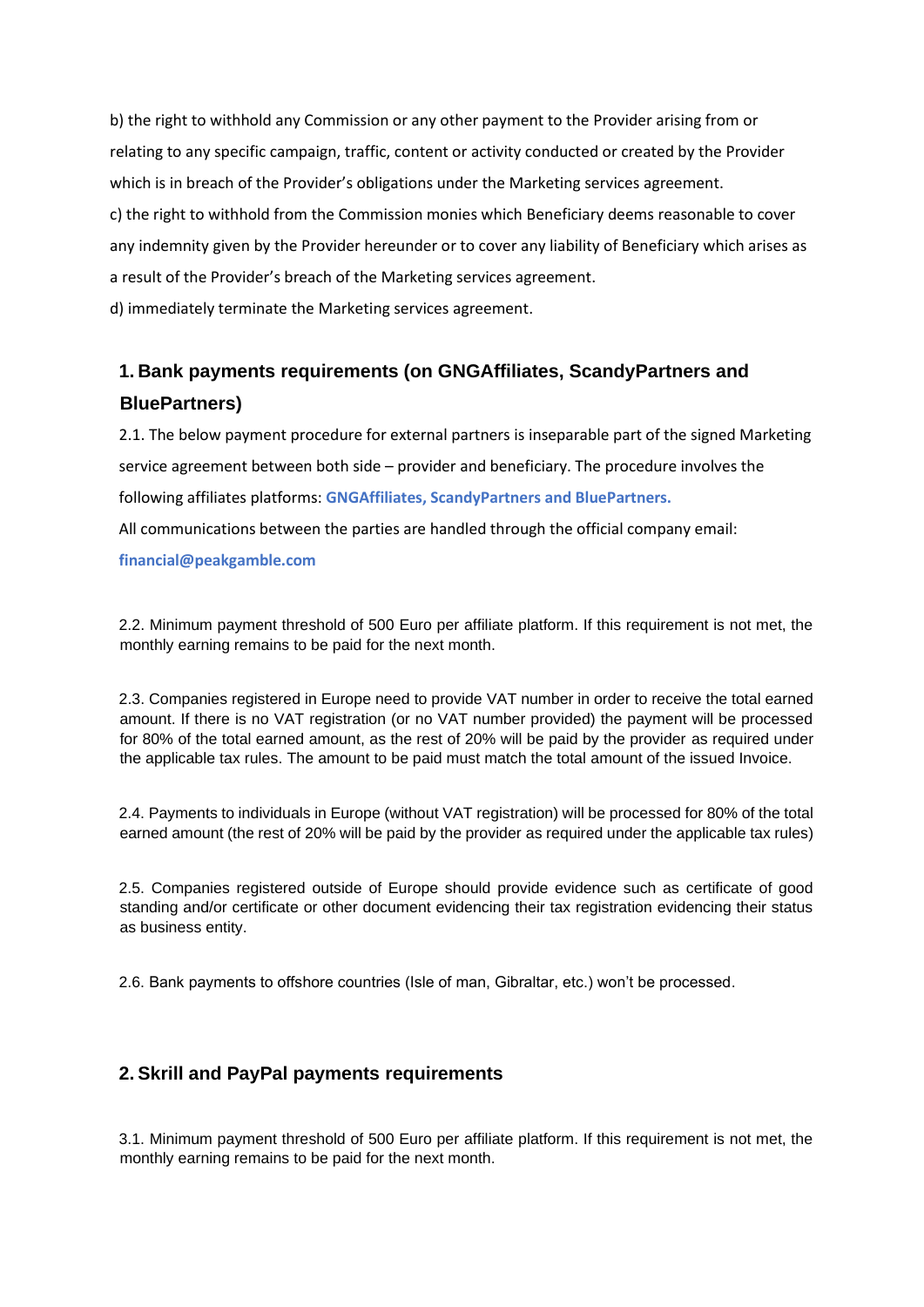b) the right to withhold any Commission or any other payment to the Provider arising from or relating to any specific campaign, traffic, content or activity conducted or created by the Provider which is in breach of the Provider's obligations under the Marketing services agreement. c) the right to withhold from the Commission monies which Beneficiary deems reasonable to cover any indemnity given by the Provider hereunder or to cover any liability of Beneficiary which arises as a result of the Provider's breach of the Marketing services agreement.

d) immediately terminate the Marketing services agreement.

# **1. Bank payments requirements (on GNGAffiliates, ScandyPartners and BluePartners)**

2.1. The below payment procedure for external partners is inseparable part of the signed Marketing service agreement between both side – provider and beneficiary. The procedure involves the following affiliates platforms: **GNGAffiliates, ScandyPartners and BluePartners.**

All communications between the parties are handled through the official company email:

#### **financial@peakgamble.com**

2.2. Minimum payment threshold of 500 Euro per affiliate platform. If this requirement is not met, the monthly earning remains to be paid for the next month.

2.3. Companies registered in Europe need to provide VAT number in order to receive the total earned amount. If there is no VAT registration (or no VAT number provided) the payment will be processed for 80% of the total earned amount, as the rest of 20% will be paid by the provider as required under the applicable tax rules. The amount to be paid must match the total amount of the issued Invoice.

2.4. Payments to individuals in Europe (without VAT registration) will be processed for 80% of the total earned amount (the rest of 20% will be paid by the provider as required under the applicable tax rules)

2.5. Companies registered outside of Europe should provide evidence such as certificate of good standing and/or certificate or other document evidencing their tax registration evidencing their status as business entity.

2.6. Bank payments to offshore countries (Isle of man, Gibraltar, etc.) won't be processed.

# **2. Skrill and PayPal payments requirements**

3.1. Minimum payment threshold of 500 Euro per affiliate platform. If this requirement is not met, the monthly earning remains to be paid for the next month.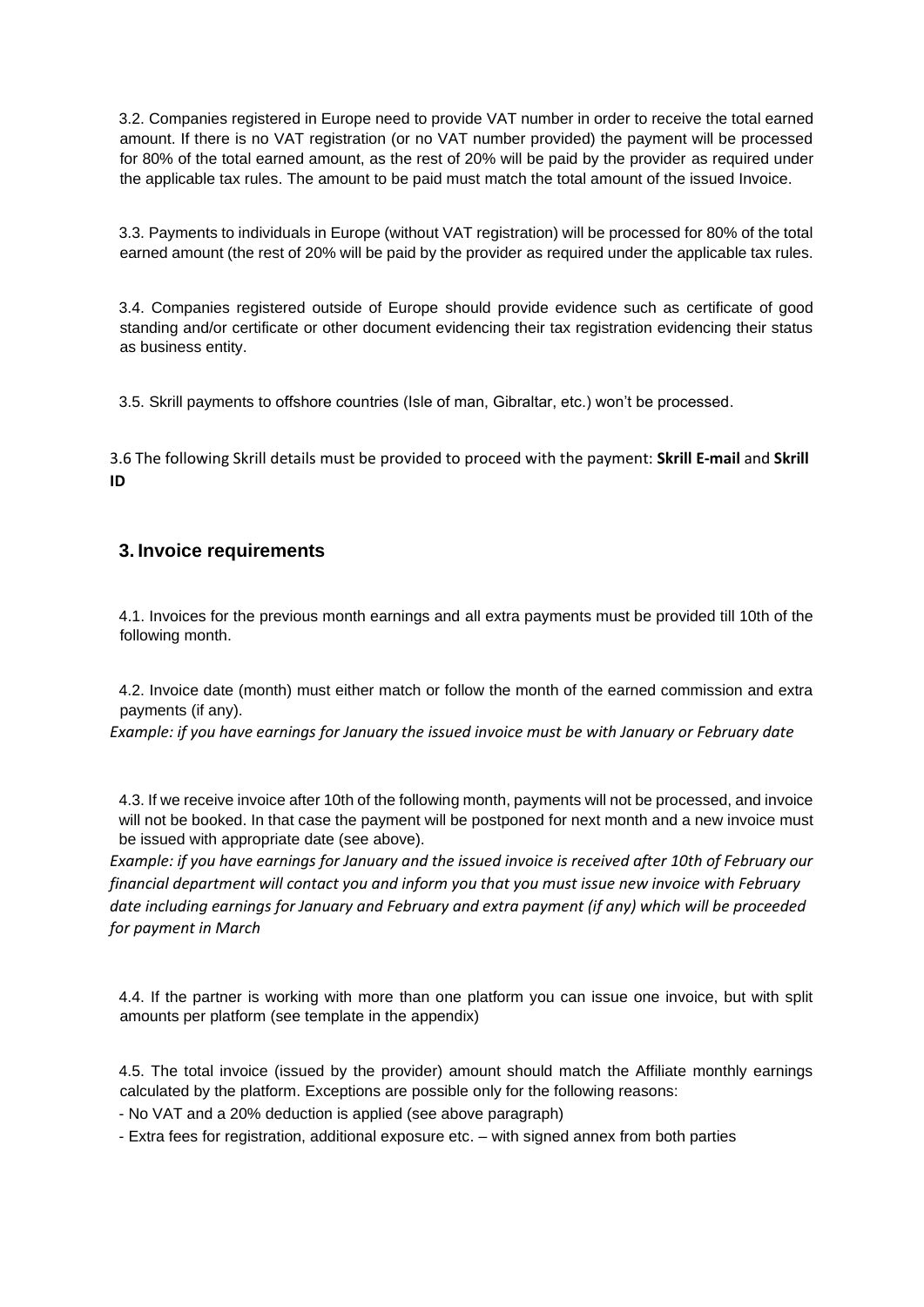3.2. Companies registered in Europe need to provide VAT number in order to receive the total earned amount. If there is no VAT registration (or no VAT number provided) the payment will be processed for 80% of the total earned amount, as the rest of 20% will be paid by the provider as required under the applicable tax rules. The amount to be paid must match the total amount of the issued Invoice.

3.3. Payments to individuals in Europe (without VAT registration) will be processed for 80% of the total earned amount (the rest of 20% will be paid by the provider as required under the applicable tax rules.

3.4. Companies registered outside of Europe should provide evidence such as certificate of good standing and/or certificate or other document evidencing their tax registration evidencing their status as business entity.

3.5. Skrill payments to offshore countries (Isle of man, Gibraltar, etc.) won't be processed.

3.6 The following Skrill details must be provided to proceed with the payment: **Skrill E-mail** and **Skrill ID**

# **3. Invoice requirements**

4.1. Invoices for the previous month earnings and all extra payments must be provided till 10th of the following month.

4.2. Invoice date (month) must either match or follow the month of the earned commission and extra payments (if any).

*Example: if you have earnings for January the issued invoice must be with January or February date*

4.3. If we receive invoice after 10th of the following month, payments will not be processed, and invoice will not be booked. In that case the payment will be postponed for next month and a new invoice must be issued with appropriate date (see above).

*Example: if you have earnings for January and the issued invoice is received after 10th of February our financial department will contact you and inform you that you must issue new invoice with February date including earnings for January and February and extra payment (if any) which will be proceeded for payment in March*

4.4. If the partner is working with more than one platform you can issue one invoice, but with split amounts per platform (see template in the appendix)

4.5. The total invoice (issued by the provider) amount should match the Affiliate monthly earnings calculated by the platform. Exceptions are possible only for the following reasons:

- No VAT and a 20% deduction is applied (see above paragraph)

- Extra fees for registration, additional exposure etc. – with signed annex from both parties